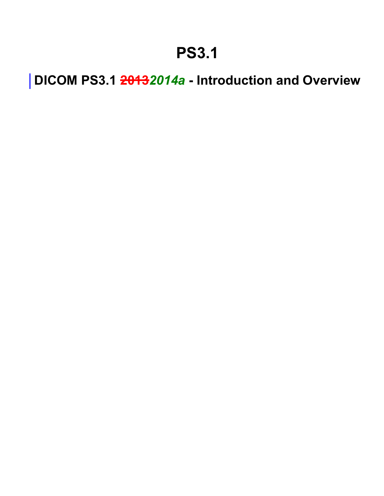### **PS3.1**

### **DICOM PS3.1 2013***2014a* **- Introduction and Overview**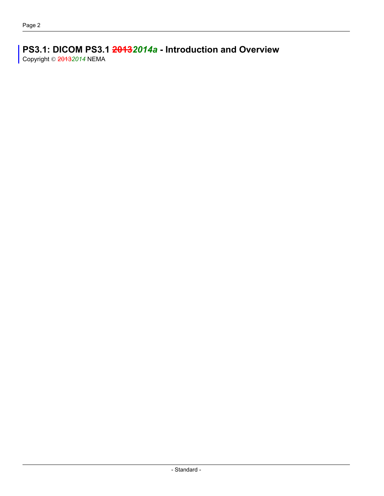#### **PS3.1: DICOM PS3.1 2013***2014a* **- Introduction and Overview** Copyright © 2013*2014* NEMA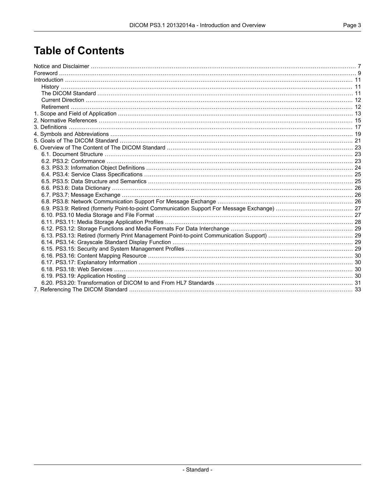### **Table of Contents**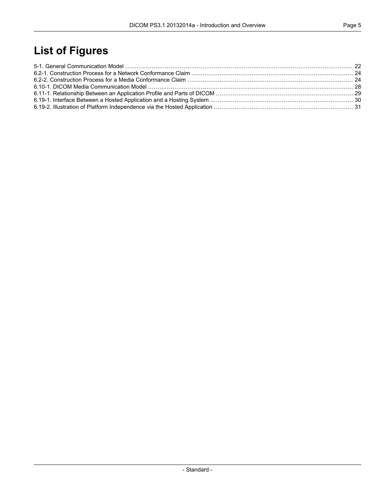### **List of Figures**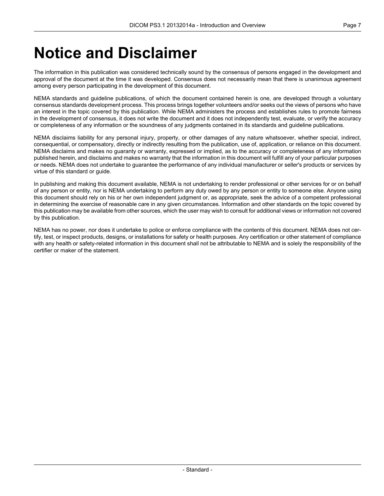### <span id="page-6-0"></span>**Notice and Disclaimer**

The information in this publication was considered technically sound by the consensus of persons engaged in the development and approval of the document at the time it was developed. Consensus does not necessarily mean that there is unanimous agreement among every person participating in the development of this document.

NEMA standards and guideline publications, of which the document contained herein is one, are developed through a voluntary consensus standards development process. This process brings together volunteers and/or seeks out the views of persons who have an interest in the topic covered by this publication. While NEMA administers the process and establishes rules to promote fairness in the development of consensus, it does not write the document and it does not independently test, evaluate, or verify the accuracy or completeness of any information or the soundness of any judgments contained in its standards and guideline publications.

NEMA disclaims liability for any personal injury, property, or other damages of any nature whatsoever, whether special, indirect, consequential, or compensatory, directly or indirectly resulting from the publication, use of, application, or reliance on this document. NEMA disclaims and makes no guaranty or warranty, expressed or implied, as to the accuracy or completeness of any information published herein, and disclaims and makes no warranty that the information in this document will fulfill any of your particular purposes or needs. NEMA does not undertake to guarantee the performance of any individual manufacturer or seller's products or services by virtue of this standard or guide.

In publishing and making this document available, NEMA is not undertaking to render professional or other services for or on behalf of any person or entity, nor is NEMA undertaking to perform any duty owed by any person or entity to someone else. Anyone using this document should rely on his or her own independent judgment or, as appropriate, seek the advice of a competent professional in determining the exercise of reasonable care in any given circumstances. Information and other standards on the topic covered by this publication may be available from other sources, which the user may wish to consult for additional views or information not covered by this publication.

NEMA has no power, nor does it undertake to police or enforce compliance with the contents of this document. NEMA does not certify, test, or inspect products, designs, or installations for safety or health purposes. Any certification or other statement of compliance with any health or safety-related information in this document shall not be attributable to NEMA and is solely the responsibility of the certifier or maker of the statement.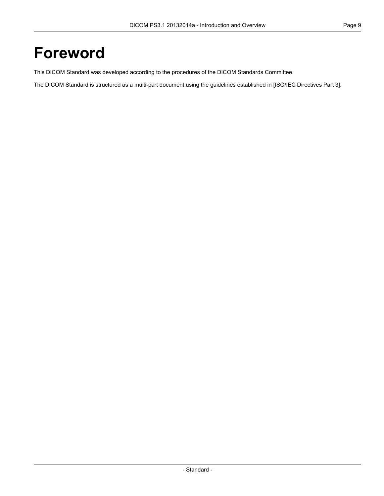### <span id="page-8-0"></span>**Foreword**

This DICOM Standard was developed according to the procedures of the DICOM Standards Committee.

The DICOM Standard is structured as a multi-part document using the guidelines established in [ISO/IEC [Directives](#page-14-1) Part 3].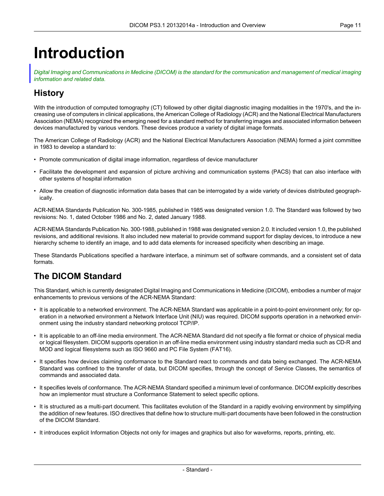### <span id="page-10-0"></span>**Introduction**

<span id="page-10-1"></span>Digital Imaging and Communications in Medicine (DICOM) is the standard for the communication and management of medical imaging *information and related data.*

### **History**

With the introduction of computed tomography (CT) followed by other digital diagnostic imaging modalities in the 1970's, and the increasing use of computers in clinical applications, the American College of Radiology (ACR) and the National Electrical Manufacturers Association (NEMA) recognized the emerging need for a standard method for transferring images and associated information between devices manufactured by various vendors. These devices produce a variety of digital image formats.

The American College of Radiology (ACR) and the National Electrical Manufacturers Association (NEMA) formed a joint committee in 1983 to develop a standard to:

- Promote communication of digital image information, regardless of device manufacturer
- Facilitate the development and expansion of picture archiving and communication systems (PACS) that can also interface with other systems of hospital information
- Allow the creation of diagnostic information data bases that can be interrogated by a wide variety of devices distributed geographically.

ACR-NEMA Standards Publication No. 300-1985, published in 1985 was designated version 1.0. The Standard was followed by two revisions: No. 1, dated October 1986 and No. 2, dated January 1988.

<span id="page-10-2"></span>ACR-NEMA Standards Publication No. 300-1988, published in 1988 was designated version 2.0. It included version 1.0, the published revisions, and additional revisions. It also included new material to provide command support for display devices, to introduce a new hierarchy scheme to identify an image, and to add data elements for increased specificity when describing an image.

These Standards Publications specified a hardware interface, a minimum set of software commands, and a consistent set of data formats.

#### **The DICOM Standard**

This Standard, which is currently designated Digital Imaging and Communications in Medicine (DICOM), embodies a number of major enhancements to previous versions of the ACR-NEMA Standard:

- It is applicable to a networked environment. The ACR-NEMA Standard was applicable in a point-to-point environment only; for operation in a networked environment a Network Interface Unit (NIU) was required. DICOM supports operation in a networked environment using the industry standard networking protocol TCP/IP.
- It is applicable to an off-line media environment. The ACR-NEMA Standard did not specify a file format or choice of physical media or logical filesystem. DICOM supports operation in an off-line media environment using industry standard media such as CD-R and MOD and logical filesystems such as ISO 9660 and PC File System (FAT16).
- It specifies how devices claiming conformance to the Standard react to commands and data being exchanged. The ACR-NEMA Standard was confined to the transfer of data, but DICOM specifies, through the concept of Service Classes, the semantics of commands and associated data.
- It specifies levels of conformance. The ACR-NEMA Standard specified a minimum level of conformance. DICOM explicitly describes how an implementor must structure a Conformance Statement to select specific options.
- It is structured as a multi-part document. This facilitates evolution of the Standard in a rapidly evolving environment by simplifying the addition of new features. ISO directives that define how to structure multi-part documents have been followed in the construction of the DICOM Standard.
- It introduces explicit Information Objects not only for images and graphics but also for waveforms, reports, printing, etc.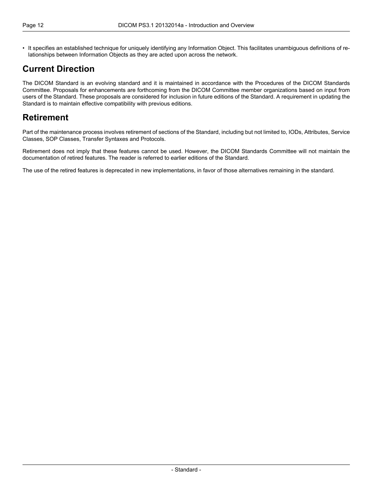• It specifies an established technique for uniquely identifying any Information Object. This facilitates unambiguous definitions of relationships between Information Objects as they are acted upon across the network.

### <span id="page-11-0"></span>**Current Direction**

<span id="page-11-1"></span>The DICOM Standard is an evolving standard and it is maintained in accordance with the Procedures of the DICOM Standards Committee. Proposals for enhancements are forthcoming from the DICOM Committee member organizations based on input from users of the Standard. These proposals are considered for inclusion in future editions of the Standard. A requirement in updating the Standard is to maintain effective compatibility with previous editions.

### **Retirement**

Part of the maintenance process involves retirement of sections of the Standard, including but not limited to, IODs, Attributes, Service Classes, SOP Classes, Transfer Syntaxes and Protocols.

Retirement does not imply that these features cannot be used. However, the DICOM Standards Committee will not maintain the documentation of retired features. The reader is referred to earlier editions of the Standard.

The use of the retired features is deprecated in new implementations, in favor of those alternatives remaining in the standard.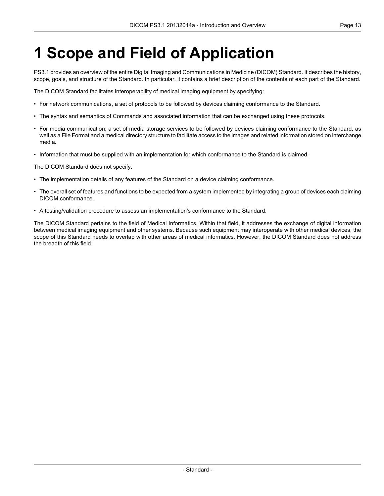# <span id="page-12-0"></span>**1 Scope and Field of Application**

PS3.1 provides an overview of the entire Digital Imaging and Communications in Medicine (DICOM) Standard. It describes the history, scope, goals, and structure of the Standard. In particular, it contains a brief description of the contents of each part of the Standard.

The DICOM Standard facilitates interoperability of medical imaging equipment by specifying:

- For network communications, a set of protocols to be followed by devices claiming conformance to the Standard.
- The syntax and semantics of Commands and associated information that can be exchanged using these protocols.
- For media communication, a set of media storage services to be followed by devices claiming conformance to the Standard, as well as a File Format and a medical directory structure to facilitate access to the images and related information stored on interchange media.
- Information that must be supplied with an implementation for which conformance to the Standard is claimed.

The DICOM Standard does not specify:

- The implementation details of any features of the Standard on a device claiming conformance.
- The overall set of features and functions to be expected from a system implemented by integrating a group of devices each claiming DICOM conformance.
- A testing/validation procedure to assess an implementation's conformance to the Standard.

The DICOM Standard pertains to the field of Medical Informatics. Within that field, it addresses the exchange of digital information between medical imaging equipment and other systems. Because such equipment may interoperate with other medical devices, the scope of this Standard needs to overlap with other areas of medical informatics. However, the DICOM Standard does not address the breadth of this field.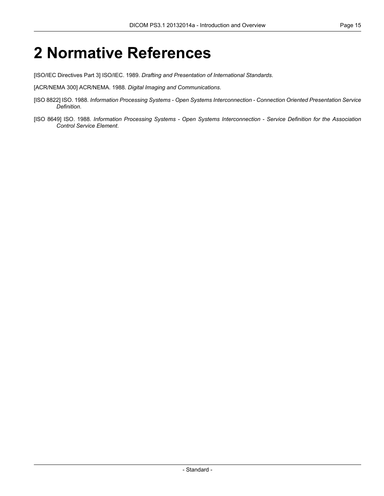### <span id="page-14-0"></span>**2 Normative References**

<span id="page-14-1"></span>[ISO/IEC Directives Part 3] ISO/IEC. 1989. *Drafting and Presentation of International Standards*.

[ACR/NEMA 300] ACR/NEMA. 1988. *Digital Imaging and Communications*.

- [ISO 8822] ISO. 1988. *Information Processing Systems - Open Systems Interconnection - Connection Oriented Presentation Service Definition*.
- [ISO 8649] ISO. 1988. *Information Processing Systems - Open Systems Interconnection - Service Definition for the Association Control Service Element*.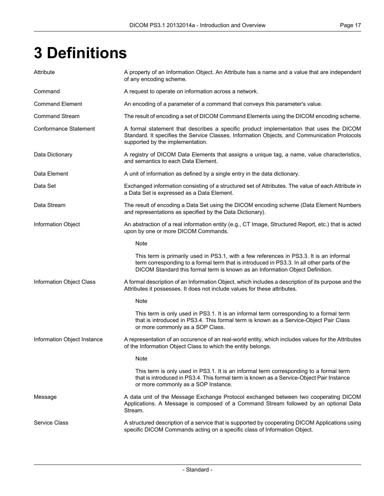# <span id="page-16-0"></span>**3 Definitions**

| Attribute                    | A property of an Information Object. An Attribute has a name and a value that are independent<br>of any encoding scheme.                                                                                                                                               |
|------------------------------|------------------------------------------------------------------------------------------------------------------------------------------------------------------------------------------------------------------------------------------------------------------------|
| Command                      | A request to operate on information across a network.                                                                                                                                                                                                                  |
| <b>Command Element</b>       | An encoding of a parameter of a command that conveys this parameter's value.                                                                                                                                                                                           |
| <b>Command Stream</b>        | The result of encoding a set of DICOM Command Elements using the DICOM encoding scheme.                                                                                                                                                                                |
| <b>Conformance Statement</b> | A formal statement that describes a specific product implementation that uses the DICOM<br>Standard. It specifies the Service Classes, Information Objects, and Communication Protocols<br>supported by the implementation.                                            |
| Data Dictionary              | A registry of DICOM Data Elements that assigns a unique tag, a name, value characteristics,<br>and semantics to each Data Element.                                                                                                                                     |
| Data Element                 | A unit of information as defined by a single entry in the data dictionary.                                                                                                                                                                                             |
| Data Set                     | Exchanged information consisting of a structured set of Attributes. The value of each Attribute in<br>a Data Set is expressed as a Data Element.                                                                                                                       |
| Data Stream                  | The result of encoding a Data Set using the DICOM encoding scheme (Data Element Numbers<br>and representations as specified by the Data Dictionary).                                                                                                                   |
| Information Object           | An abstraction of a real information entity (e.g., CT Image, Structured Report, etc.) that is acted<br>upon by one or more DICOM Commands.                                                                                                                             |
|                              | Note                                                                                                                                                                                                                                                                   |
|                              | This term is primarily used in PS3.1, with a few references in PS3.3. It is an informal<br>term corresponding to a formal term that is introduced in PS3.3. In all other parts of the<br>DICOM Standard this formal term is known as an Information Object Definition. |
| Information Object Class     | A formal description of an Information Object, which includes a description of its purpose and the<br>Attributes it possesses. It does not include values for these attributes.                                                                                        |
|                              | Note                                                                                                                                                                                                                                                                   |
|                              | This term is only used in PS3.1. It is an informal term corresponding to a formal term<br>that is introduced in PS3.4. This formal term is known as a Service-Object Pair Class<br>or more commonly as a SOP Class.                                                    |
| Information Object Instance  | A representation of an occurence of an real-world entity, which includes values for the Attributes<br>of the Information Object Class to which the entity belongs.                                                                                                     |
|                              | Note                                                                                                                                                                                                                                                                   |
|                              | This term is only used in PS3.1. It is an informal term corresponding to a formal term<br>that is introduced in PS3.4. This formal term is known as a Service-Object Pair Instance<br>or more commonly as a SOP Instance.                                              |
| Message                      | A data unit of the Message Exchange Protocol exchanged between two cooperating DICOM<br>Applications. A Message is composed of a Command Stream followed by an optional Data<br>Stream.                                                                                |
| Service Class                | A structured description of a service that is supported by cooperating DICOM Applications using<br>specific DICOM Commands acting on a specific class of Information Object.                                                                                           |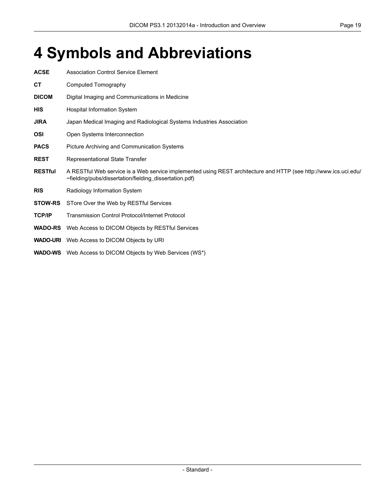## <span id="page-18-0"></span>**4 Symbols and Abbreviations**

| <b>ACSE</b>    | Association Control Service Element                                                                                                                                        |
|----------------|----------------------------------------------------------------------------------------------------------------------------------------------------------------------------|
| <b>CT</b>      | Computed Tomography                                                                                                                                                        |
| <b>DICOM</b>   | Digital Imaging and Communications in Medicine                                                                                                                             |
| <b>HIS</b>     | <b>Hospital Information System</b>                                                                                                                                         |
| <b>JIRA</b>    | Japan Medical Imaging and Radiological Systems Industries Association                                                                                                      |
| <b>OSI</b>     | Open Systems Interconnection                                                                                                                                               |
| <b>PACS</b>    | Picture Archiving and Communication Systems                                                                                                                                |
| <b>REST</b>    | Representational State Transfer                                                                                                                                            |
| <b>RESTful</b> | A RESTful Web service is a Web service implemented using REST architecture and HTTP (see http://www.ics.uci.edu/<br>~fielding/pubs/dissertation/fielding_dissertation.pdf) |
| <b>RIS</b>     | Radiology Information System                                                                                                                                               |
| <b>STOW-RS</b> | STore Over the Web by RESTful Services                                                                                                                                     |
| <b>TCP/IP</b>  | <b>Transmission Control Protocol/Internet Protocol</b>                                                                                                                     |
| <b>WADO-RS</b> | Web Access to DICOM Objects by RESTful Services                                                                                                                            |
|                | <b>WADO-URI</b> Web Access to DICOM Objects by URI                                                                                                                         |
|                | <b>WADO-WS</b> Web Access to DICOM Objects by Web Services (WS*)                                                                                                           |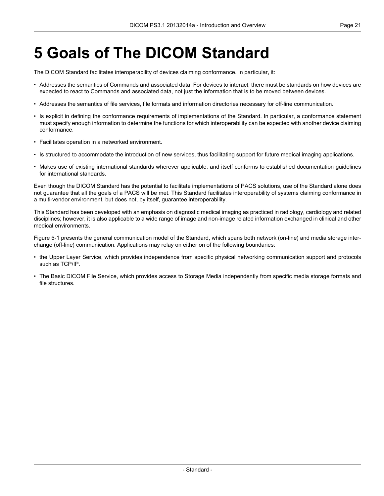# <span id="page-20-0"></span>**5 Goals of The DICOM Standard**

The DICOM Standard facilitates interoperability of devices claiming conformance. In particular, it:

- Addresses the semantics of Commands and associated data. For devices to interact, there must be standards on how devices are expected to react to Commands and associated data, not just the information that is to be moved between devices.
- Addresses the semantics of file services, file formats and information directories necessary for off-line communication.
- Is explicit in defining the conformance requirements of implementations of the Standard. In particular, a conformance statement must specify enough information to determine the functions for which interoperability can be expected with another device claiming conformance.
- Facilitates operation in a networked environment.
- Is structured to accommodate the introduction of new services, thus facilitating support for future medical imaging applications.
- Makes use of existing international standards wherever applicable, and itself conforms to established documentation guidelines for international standards.

Even though the DICOM Standard has the potential to facilitate implementations of PACS solutions, use of the Standard alone does not guarantee that all the goals of a PACS will be met. This Standard facilitates interoperability of systems claiming conformance in a multi-vendor environment, but does not, by itself, guarantee interoperability.

This Standard has been developed with an emphasis on diagnostic medical imaging as practiced in radiology, cardiology and related disciplines; however, it is also applicable to a wide range of image and non-image related information exchanged in clinical and other medical environments.

[Figure](#page-21-0) 5-1 presents the general communication model of the Standard, which spans both network (on-line) and media storage interchange (off-line) communication. Applications may relay on either on of the following boundaries:

- the Upper Layer Service, which provides independence from specific physical networking communication support and protocols such as TCP/IP.
- The Basic DICOM File Service, which provides access to Storage Media independently from specific media storage formats and file structures.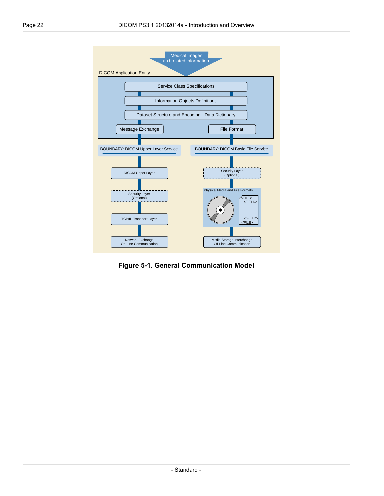<span id="page-21-0"></span>

**Figure 5-1. General Communication Model**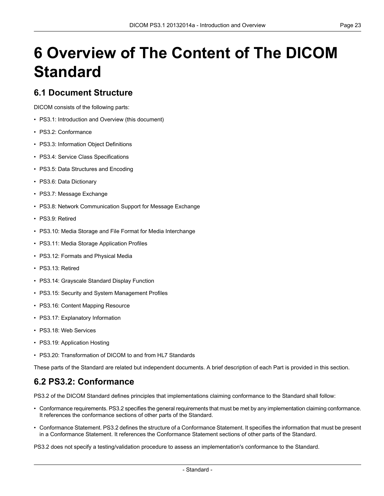# <span id="page-22-0"></span>**6 Overview of The Content of The DICOM Standard**

#### <span id="page-22-1"></span>**6.1 Document Structure**

DICOM consists of the following parts:

- PS3.1: Introduction and Overview (this document)
- PS3.2: [Conformance](part02.pdf#PS3.2)
- PS3.3: [Information](part03.pdf#PS3.3) Object Definitions
- PS3.4: Service Class [Specifications](part04.pdf#PS3.4)
- PS3.5: Data [Structures](part05.pdf#PS3.5) and Encoding
- PS3.6: Data [Dictionary](part06.pdf#PS3.6)
- PS3.7: Message [Exchange](part07.pdf#PS3.7)
- PS3.8: Network [Communication](part08.pdf#PS3.8) Support for Message Exchange
- PS3.9: Retired
- PS3.10: Media Storage and File Format for Media [Interchange](part10.pdf#PS3.10)
- PS3.11: Media Storage [Application](part11.pdf#PS3.11) Profiles
- PS3.12: Formats and [Physical](part12.pdf#PS3.12) Media
- PS3.13: Retired
- PS3.14: [Grayscale](part14.pdf#PS3.14) Standard Display Function
- PS3.15: Security and System [Management](part15.pdf#PS3.15) Profiles
- PS3.16: Content Mapping [Resource](part16.pdf#PS3.16)
- PS3.17: [Explanatory](part17.pdf#PS3.17) Information
- PS3.18: Web [Services](part18.pdf#PS3.18)
- <span id="page-22-2"></span>• PS3.19: [Application](part19.pdf#PS3.19) Hosting
- PS3.20: [Transformation](part20.pdf#PS3.20) of DICOM to and from HL7 Standards

These parts of the Standard are related but independent documents. A brief description of each Part is provided in this section.

#### **6.2 PS3.2: Conformance**

[PS3.2](part02.pdf#PS3.2) of the DICOM Standard defines principles that implementations claiming conformance to the Standard shall follow:

- Conformance requirements. [PS3.2](part02.pdf#PS3.2) specifies the general requirements that must be met by any implementation claiming conformance. It references the conformance sections of other parts of the Standard.
- Conformance Statement. [PS3.2](part02.pdf#PS3.2) defines the structure of a Conformance Statement. It specifies the information that must be present in a Conformance Statement. It references the Conformance Statement sections of other parts of the Standard.

[PS3.2](part02.pdf#PS3.2) does not specify a testing/validation procedure to assess an implementation's conformance to the Standard.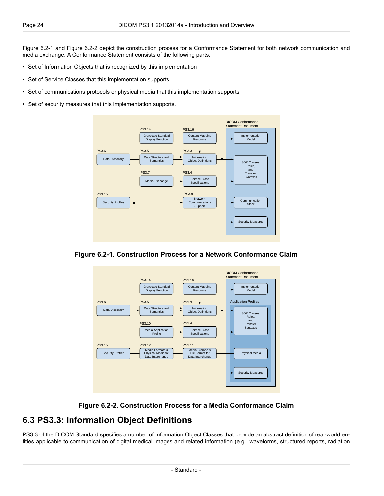[Figure](#page-23-1) 6.2-1 and [Figure](#page-23-2) 6.2-2 depict the construction process for a Conformance Statement for both network communication and media exchange. A Conformance Statement consists of the following parts:

- Set of Information Objects that is recognized by this implementation
- Set of Service Classes that this implementation supports
- Set of communications protocols or physical media that this implementation supports
- <span id="page-23-1"></span>• Set of security measures that this implementation supports.



<span id="page-23-2"></span>





#### <span id="page-23-0"></span>**6.3 PS3.3: Information Object Definitions**

[PS3.3](part03.pdf#PS3.3) of the DICOM Standard specifies a number of Information Object Classes that provide an abstract definition of real-world entities applicable to communication of digital medical images and related information (e.g., waveforms, structured reports, radiation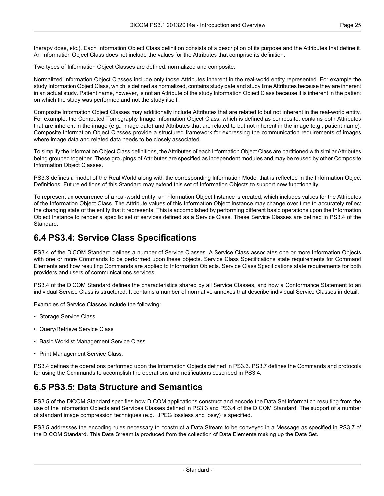therapy dose, etc.). Each Information Object Class definition consists of a description of its purpose and the Attributes that define it. An Information Object Class does not include the values for the Attributes that comprise its definition.

Two types of Information Object Classes are defined: normalized and composite.

Normalized Information Object Classes include only those Attributes inherent in the real-world entity represented. For example the study Information Object Class, which is defined as normalized, contains study date and study time Attributes because they are inherent in an actual study. Patient name, however, is not an Attribute of the study Information Object Class because it is inherent in the patient on which the study was performed and not the study itself.

Composite Information Object Classes may additionally include Attributes that are related to but not inherent in the real-world entity. For example, the Computed Tomography Image Information Object Class, which is defined as composite, contains both Attributes that are inherent in the image (e.g., image date) and Attributes that are related to but not inherent in the image (e.g., patient name). Composite Information Object Classes provide a structured framework for expressing the communication requirements of images where image data and related data needs to be closely associated.

To simplify the Information Object Class definitions, the Attributes of each Information Object Class are partitioned with similar Attributes being grouped together. These groupings of Attributes are specified as independent modules and may be reused by other Composite Information Object Classes.

[PS3.3](part03.pdf#PS3.3) defines a model of the Real World along with the corresponding Information Model that is reflected in the Information Object Definitions. Future editions of this Standard may extend this set of Information Objects to support new functionality.

<span id="page-24-0"></span>To represent an occurrence of a real-world entity, an Information Object Instance is created, which includes values for the Attributes of the Information Object Class. The Attribute values of this Information Object Instance may change over time to accurately reflect the changing state of the entity that it represents. This is accomplished by performing different basic operations upon the Information Object Instance to render a specific set of services defined as a Service Class. These Service Classes are defined in [PS3.4](part04.pdf#PS3.4) of the Standard.

#### **6.4 PS3.4: Service Class Specifications**

[PS3.4](part04.pdf#PS3.4) of the DICOM Standard defines a number of Service Classes. A Service Class associates one or more Information Objects with one or more Commands to be performed upon these objects. Service Class Specifications state requirements for Command Elements and how resulting Commands are applied to Information Objects. Service Class Specifications state requirements for both providers and users of communications services.

[PS3.4](part04.pdf#PS3.4) of the DICOM Standard defines the characteristics shared by all Service Classes, and how a Conformance Statement to an individual Service Class is structured. It contains a number of normative annexes that describe individual Service Classes in detail.

Examples of Service Classes include the following:

- Storage Service Class
- Query/Retrieve Service Class
- <span id="page-24-1"></span>• Basic Worklist Management Service Class
- Print Management Service Class.

[PS3.4](part04.pdf#PS3.4) defines the operations performed upon the Information Objects defined in [PS3.3.](part03.pdf#PS3.3) [PS3.7](part07.pdf#PS3.7) defines the Commands and protocols for using the Commands to accomplish the operations and notifications described in [PS3.4](part04.pdf#PS3.4).

#### **6.5 PS3.5: Data Structure and Semantics**

[PS3.5](part05.pdf#PS3.5) of the DICOM Standard specifies how DICOM applications construct and encode the Data Set information resulting from the use of the Information Objects and Services Classes defined in [PS3.3](part03.pdf#PS3.3) and [PS3.4](part04.pdf#PS3.4) of the DICOM Standard. The support of a number of standard image compression techniques (e.g., JPEG lossless and lossy) is specified.

[PS3.5](part05.pdf#PS3.5) addresses the encoding rules necessary to construct a Data Stream to be conveyed in a Message as specified in [PS3.7](part07.pdf#PS3.7) of the DICOM Standard. This Data Stream is produced from the collection of Data Elements making up the Data Set.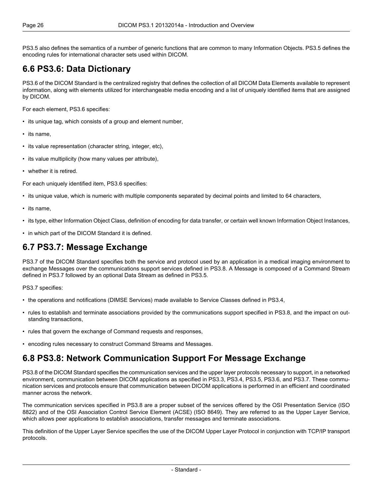<span id="page-25-0"></span>[PS3.5](part05.pdf#PS3.5) also defines the semantics of a number of generic functions that are common to many Information Objects. [PS3.5](part05.pdf#PS3.5) defines the encoding rules for international character sets used within DICOM.

#### **6.6 PS3.6: Data Dictionary**

[PS3.6](part06.pdf#PS3.6) of the DICOM Standard is the centralized registry that defines the collection of all DICOM Data Elements available to represent information, along with elements utilized for interchangeable media encoding and a list of uniquely identified items that are assigned by DICOM.

For each element, [PS3.6](part06.pdf#PS3.6) specifies:

- its unique tag, which consists of a group and element number,
- its name,
- its value representation (character string, integer, etc),
- its value multiplicity (how many values per attribute),
- whether it is retired.

For each uniquely identified item, [PS3.6](part06.pdf#PS3.6) specifies:

- its unique value, which is numeric with multiple components separated by decimal points and limited to 64 characters,
- its name,
- <span id="page-25-1"></span>• its type, either Information Object Class, definition of encoding for data transfer, or certain well known Information Object Instances,
- in which part of the DICOM Standard it is defined.

#### **6.7 PS3.7: Message Exchange**

[PS3.7](part07.pdf#PS3.7) of the DICOM Standard specifies both the service and protocol used by an application in a medical imaging environment to exchange Messages over the communications support services defined in [PS3.8.](part08.pdf#PS3.8) A Message is composed of a Command Stream defined in [PS3.7](part07.pdf#PS3.7) followed by an optional Data Stream as defined in [PS3.5](part05.pdf#PS3.5).

[PS3.7](part07.pdf#PS3.7) specifies:

- the operations and notifications (DIMSE Services) made available to Service Classes defined in [PS3.4,](part04.pdf#PS3.4)
- <span id="page-25-2"></span>• rules to establish and terminate associations provided by the communications support specified in [PS3.8,](part08.pdf#PS3.8) and the impact on outstanding transactions,
- rules that govern the exchange of Command requests and responses,
- encoding rules necessary to construct Command Streams and Messages.

#### **6.8 PS3.8: Network Communication Support For Message Exchange**

[PS3.8](part08.pdf#PS3.8) of the DICOM Standard specifies the communication services and the upper layer protocols necessary to support, in a networked environment, communication between DICOM applications as specified in [PS3.3](part03.pdf#PS3.3), [PS3.4,](part04.pdf#PS3.4) [PS3.5](part05.pdf#PS3.5), [PS3.6,](part06.pdf#PS3.6) and [PS3.7.](part07.pdf#PS3.7) These communication services and protocols ensure that communication between DICOM applications is performed in an efficient and coordinated manner across the network.

The communication services specified in [PS3.8](part08.pdf#PS3.8) are a proper subset of the services offered by the OSI Presentation Service (ISO 8822) and of the OSI Association Control Service Element (ACSE) (ISO 8649). They are referred to as the Upper Layer Service, which allows peer applications to establish associations, transfer messages and terminate associations.

This definition of the Upper Layer Service specifies the use of the DICOM Upper Layer Protocol in conjunction with TCP/IP transport protocols.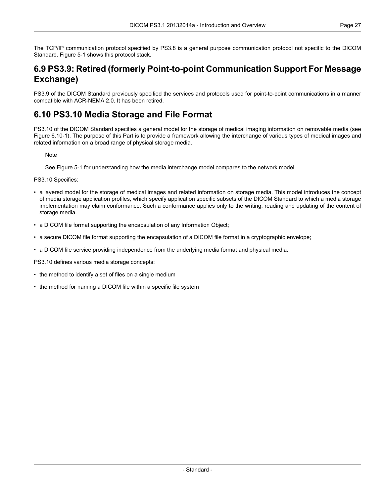<span id="page-26-0"></span>The TCP/IP communication protocol specified by [PS3.8](part08.pdf#PS3.8) is a general purpose communication protocol not specific to the DICOM Standard. [Figure](#page-21-0) 5-1 shows this protocol stack.

#### **6.9 PS3.9: Retired (formerly Point-to-point Communication Support For Message Exchange)**

<span id="page-26-1"></span>PS3.9 of the DICOM Standard previously specified the services and protocols used for point-to-point communications in a manner compatible with ACR-NEMA 2.0. It has been retired.

#### **6.10 PS3.10 Media Storage and File Format**

[PS3.10](part10.pdf#PS3.10) of the DICOM Standard specifies a general model for the storage of medical imaging information on removable media (see Figure [6.10-1\)](#page-27-1). The purpose of this Part is to provide a framework allowing the interchange of various types of medical images and related information on a broad range of physical storage media.

**Note** 

See [Figure](#page-21-0) 5-1 for understanding how the media interchange model compares to the network model.

[PS3.10](part10.pdf#PS3.10) Specifies:

- a layered model for the storage of medical images and related information on storage media. This model introduces the concept of media storage application profiles, which specify application specific subsets of the DICOM Standard to which a media storage implementation may claim conformance. Such a conformance applies only to the writing, reading and updating of the content of storage media.
- a DICOM file format supporting the encapsulation of any Information Object;
- a secure DICOM file format supporting the encapsulation of a DICOM file format in a cryptographic envelope;
- a DICOM file service providing independence from the underlying media format and physical media.

[PS3.10](part10.pdf#PS3.10) defines various media storage concepts:

- the method to identify a set of files on a single medium
- the method for naming a DICOM file within a specific file system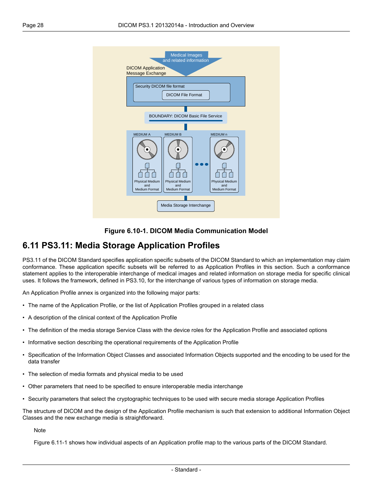<span id="page-27-1"></span>



#### <span id="page-27-0"></span>**6.11 PS3.11: Media Storage Application Profiles**

[PS3.11](part11.pdf#PS3.11) of the DICOM Standard specifies application specific subsets of the DICOM Standard to which an implementation may claim conformance. These application specific subsets will be referred to as Application Profiles in this section. Such a conformance statement applies to the interoperable interchange of medical images and related information on storage media for specific clinical uses. It follows the framework, defined in [PS3.10](part10.pdf#PS3.10), for the interchange of various types of information on storage media.

An Application Profile annex is organized into the following major parts:

- The name of the Application Profile, or the list of Application Profiles grouped in a related class
- A description of the clinical context of the Application Profile
- The definition of the media storage Service Class with the device roles for the Application Profile and associated options
- Informative section describing the operational requirements of the Application Profile
- Specification of the Information Object Classes and associated Information Objects supported and the encoding to be used for the data transfer
- The selection of media formats and physical media to be used
- Other parameters that need to be specified to ensure interoperable media interchange
- Security parameters that select the cryptographic techniques to be used with secure media storage Application Profiles

The structure of DICOM and the design of the Application Profile mechanism is such that extension to additional Information Object Classes and the new exchange media is straightforward.

**Note** 

[Figure](#page-28-4) 6.11-1 shows how individual aspects of an Application profile map to the various parts of the DICOM Standard.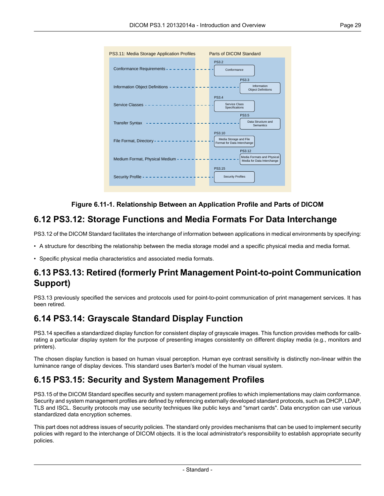<span id="page-28-4"></span>

#### **Figure 6.11-1. Relationship Between an Application Profile and Parts of DICOM**

#### <span id="page-28-0"></span>**6.12 PS3.12: Storage Functions and Media Formats For Data Interchange**

[PS3.12](part12.pdf#PS3.12) of the DICOM Standard facilitates the interchange of information between applications in medical environments by specifying:

<span id="page-28-1"></span>• A structure for describing the relationship between the media storage model and a specific physical media and media format.

• Specific physical media characteristics and associated media formats.

#### <span id="page-28-2"></span>**6.13 PS3.13: Retired (formerly Print Management Point-to-point Communication Support)**

PS3.13 previously specified the services and protocols used for point-to-point communication of print management services. It has been retired.

#### **6.14 PS3.14: Grayscale Standard Display Function**

<span id="page-28-3"></span>[PS3.14](part14.pdf#PS3.14) specifies a standardized display function for consistent display of grayscale images. This function provides methods for calibrating a particular display system for the purpose of presenting images consistently on different display media (e.g., monitors and printers).

The chosen display function is based on human visual perception. Human eye contrast sensitivity is distinctly non-linear within the luminance range of display devices. This standard uses Barten's model of the human visual system.

#### **6.15 PS3.15: Security and System Management Profiles**

[PS3.15](part15.pdf#PS3.15) of the DICOM Standard specifies security and system management profiles to which implementations may claim conformance. Security and system management profiles are defined by referencing externally developed standard protocols, such as DHCP, LDAP, TLS and ISCL. Security protocols may use security techniques like public keys and "smart cards". Data encryption can use various standardized data encryption schemes.

This part does not address issues of security policies. The standard only provides mechanisms that can be used to implement security policies with regard to the interchange of DICOM objects. It is the local administrator's responsibility to establish appropriate security policies.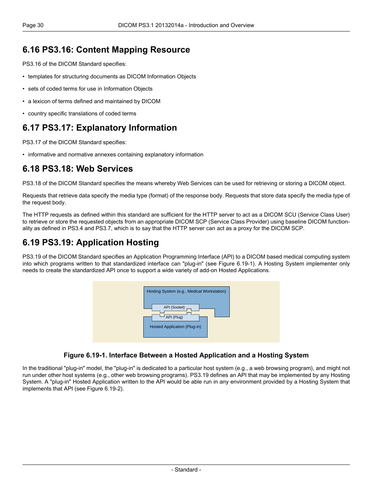#### <span id="page-29-0"></span>**6.16 PS3.16: Content Mapping Resource**

[PS3.16](part16.pdf#PS3.16) of the DICOM Standard specifies:

- templates for structuring documents as DICOM Information Objects
- sets of coded terms for use in Information Objects
- a lexicon of terms defined and maintained by DICOM
- <span id="page-29-1"></span>• country specific translations of coded terms

#### **6.17 PS3.17: Explanatory Information**

<span id="page-29-2"></span>[PS3.17](part17.pdf#PS3.17) of the DICOM Standard specifies:

• informative and normative annexes containing explanatory information

#### **6.18 PS3.18: Web Services**

[PS3.18](part18.pdf#PS3.18) of the DICOM Standard specifies the means whereby Web Services can be used for retrieving or storing a DICOM object.

Requests that retrieve data specify the media type (format) of the response body. Requests that store data specify the media type of the request body.

<span id="page-29-3"></span>The HTTP requests as defined within this standard are sufficient for the HTTP server to act as a DICOM SCU (Service Class User) to retrieve or store the requested objects from an appropriate DICOM SCP (Service Class Provider) using baseline DICOM functionality as defined in [PS3.4](part04.pdf#PS3.4) and [PS3.7,](part07.pdf#PS3.7) which is to say that the HTTP server can act as a proxy for the DICOM SCP.

#### **6.19 PS3.19: Application Hosting**

<span id="page-29-4"></span>[PS3.19](part19.pdf#PS3.19) of the DICOM Standard specifies an Application Programming Interface (API) to a DICOM based medical computing system into which programs written to that standardized interface can "plug-in" (see [Figure](#page-29-4) 6.19-1). A Hosting System implementer only needs to create the standardized API once to support a wide variety of add-on Hosted Applications.



#### **Figure 6.19-1. Interface Between a Hosted Application and a Hosting System**

In the traditional "plug-in" model, the "plug-in" is dedicated to a particular host system (e.g., a web browsing program), and might not run under other host systems (e.g., other web browsing programs). [PS3.19](part19.pdf#PS3.19) defines an API that may be implemented by any Hosting System. A "plug-in" Hosted Application written to the API would be able run in any environment provided by a Hosting System that implements that API (see [Figure](#page-30-1) 6.19-2).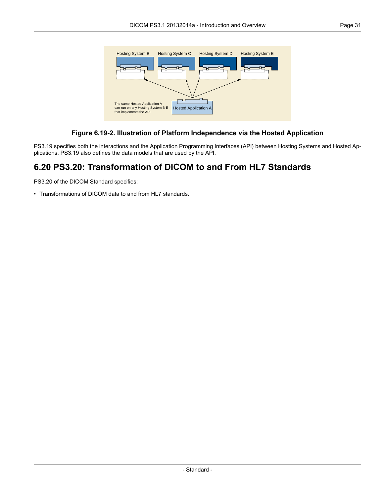<span id="page-30-1"></span>

#### **Figure 6.19-2. Illustration of Platform Independence via the Hosted Application**

<span id="page-30-0"></span>[PS3.19](part19.pdf#PS3.19) specifies both the interactions and the Application Programming Interfaces (API) between Hosting Systems and Hosted Applications. [PS3.19](part19.pdf#PS3.19) also defines the data models that are used by the API.

#### **6.20 PS3.20: Transformation of DICOM to and From HL7 Standards**

[PS3.20](part20.pdf#PS3.20) of the DICOM Standard specifies:

• Transformations of DICOM data to and from HL7 standards.